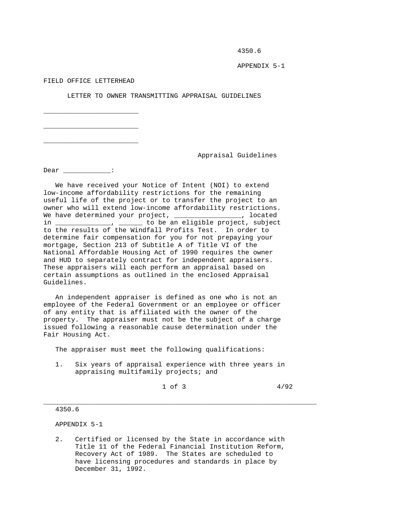4350.6

APPENDIX 5-1

FIELD OFFICE LETTERHEAD

\_\_\_\_\_\_\_\_\_\_\_\_\_\_\_\_\_\_\_\_\_\_\_\_

\_\_\_\_\_\_\_\_\_\_\_\_\_\_\_\_\_\_\_\_\_\_\_\_

\_\_\_\_\_\_\_\_\_\_\_\_\_\_\_\_\_\_\_\_\_\_\_\_

LETTER TO OWNER TRANSMITTING APPRAISAL GUIDELINES

Appraisal Guidelines

Dear \_\_\_\_\_\_\_\_\_\_\_\_\_:

 We have received your Notice of Intent (NOI) to extend low-income affordability restrictions for the remaining useful life of the project or to transfer the project to an owner who will extend low-income affordability restrictions. We have determined your project, \_\_\_\_\_\_\_\_\_\_\_\_\_\_\_\_\_, located in \_\_\_\_\_\_\_\_\_\_\_\_\_\_, \_\_\_\_\_\_ to be an eligible project, subject to the results of the Windfall Profits Test. In order to determine fair compensation for you for not prepaying your mortgage, Section 213 of Subtitle A of Title VI of the National Affordable Housing Act of 1990 requires the owner and HUD to separately contract for independent appraisers. These appraisers will each perform an appraisal based on certain assumptions as outlined in the enclosed Appraisal Guidelines.

 An independent appraiser is defined as one who is not an employee of the Federal Government or an employee or officer of any entity that is affiliated with the owner of the property. The appraiser must not be the subject of a charge issued following a reasonable cause determination under the Fair Housing Act.

The appraiser must meet the following qualifications:

 1. Six years of appraisal experience with three years in appraising multifamily projects; and

\_\_\_\_\_\_\_\_\_\_\_\_\_\_\_\_\_\_\_\_\_\_\_\_\_\_\_\_\_\_\_\_\_\_\_\_\_\_\_\_\_\_\_\_\_\_\_\_\_\_\_\_\_\_\_\_\_\_\_\_\_\_\_\_\_\_\_\_\_

| $1$ of $3$<br>$\sim$ | 4/92 |
|----------------------|------|
|----------------------|------|

#### 4350.6

APPENDIX 5-1

 2. Certified or licensed by the State in accordance with Title 11 of the Federal Financial Institution Reform, Recovery Act of 1989. The States are scheduled to have licensing procedures and standards in place by December 31, 1992.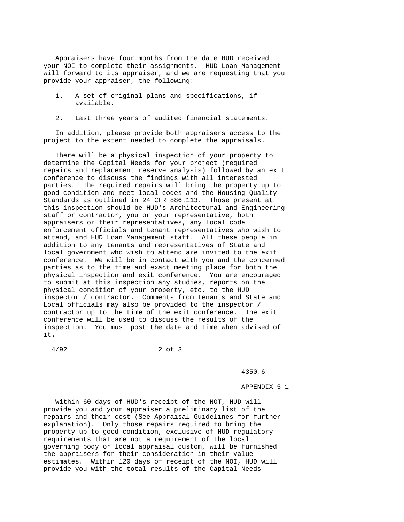Appraisers have four months from the date HUD received your NOI to complete their assignments. HUD Loan Management will forward to its appraiser, and we are requesting that you provide your appraiser, the following:

- 1. A set of original plans and specifications, if available.
- 2. Last three years of audited financial statements.

 In addition, please provide both appraisers access to the project to the extent needed to complete the appraisals.

 There will be a physical inspection of your property to determine the Capital Needs for your project (required repairs and replacement reserve analysis) followed by an exit conference to discuss the findings with all interested parties. The required repairs will bring the property up to good condition and meet local codes and the Housing Quality Standards as outlined in 24 CFR 886.113. Those present at this inspection should be HUD's Architectural and Engineering staff or contractor, you or your representative, both appraisers or their representatives, any local code enforcement officials and tenant representatives who wish to attend, and HUD Loan Management staff. All these people in addition to any tenants and representatives of State and local government who wish to attend are invited to the exit conference. We will be in contact with you and the concerned parties as to the time and exact meeting place for both the physical inspection and exit conference. You are encouraged to submit at this inspection any studies, reports on the physical condition of your property, etc. to the HUD inspector / contractor. Comments from tenants and State and Local officials may also be provided to the inspector / contractor up to the time of the exit conference. The exit conference will be used to discuss the results of the inspection. You must post the date and time when advised of it.

4/92 2 of 3

\_\_\_\_\_\_\_\_\_\_\_\_\_\_\_\_\_\_\_\_\_\_\_\_\_\_\_\_\_\_\_\_\_\_\_\_\_\_\_\_\_\_\_\_\_\_\_\_\_\_\_\_\_\_\_\_\_\_\_\_\_\_\_\_\_\_\_\_\_

4350.6

APPENDIX 5-1

 Within 60 days of HUD's receipt of the NOT, HUD will provide you and your appraiser a preliminary list of the repairs and their cost (See Appraisal Guidelines for further explanation). Only those repairs required to bring the property up to good condition, exclusive of HUD regulatory requirements that are not a requirement of the local governing body or local appraisal custom, will be furnished the appraisers for their consideration in their value estimates. Within 120 days of receipt of the NOI, HUD will provide you with the total results of the Capital Needs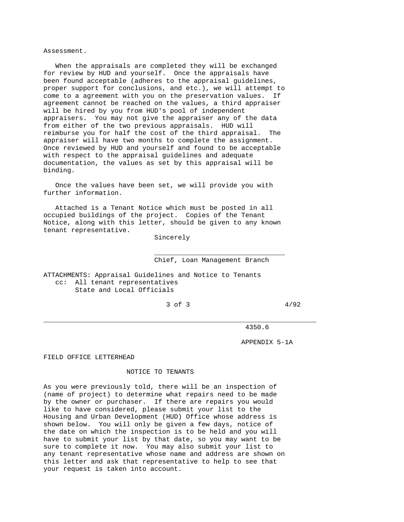Assessment.

 When the appraisals are completed they will be exchanged for review by HUD and yourself. Once the appraisals have been found acceptable (adheres to the appraisal guidelines, proper support for conclusions, and etc.), we will attempt to come to a agreement with you on the preservation values. If agreement cannot be reached on the values, a third appraiser will be hired by you from HUD's pool of independent appraisers. You may not give the appraiser any of the data from either of the two previous appraisals. HUD will reimburse you for half the cost of the third appraisal. The appraiser will have two months to complete the assignment. Once reviewed by HUD and yourself and found to be acceptable with respect to the appraisal guidelines and adequate documentation, the values as set by this appraisal will be binding.

 Once the values have been set, we will provide you with further information.

 Attached is a Tenant Notice which must be posted in all occupied buildings of the project. Copies of the Tenant Notice, along with this letter, should be given to any known tenant representative.

 $\mathcal{L}_\text{max}$  , and the set of the set of the set of the set of the set of the set of the set of the set of the set of the set of the set of the set of the set of the set of the set of the set of the set of the set of the

Sincerely

Chief, Loan Management Branch

ATTACHMENTS: Appraisal Guidelines and Notice to Tenants cc: All tenant representatives State and Local Officials

 $3 \text{ of } 3$   $4/92$ 

\_\_\_\_\_\_\_\_\_\_\_\_\_\_\_\_\_\_\_\_\_\_\_\_\_\_\_\_\_\_\_\_\_\_\_\_\_\_\_\_\_\_\_\_\_\_\_\_\_\_\_\_\_\_\_\_\_\_\_\_\_\_\_\_\_\_\_\_\_

4350.6

APPENDIX 5-1A

FIELD OFFICE LETTERHEAD

#### NOTICE TO TENANTS

As you were previously told, there will be an inspection of (name of project) to determine what repairs need to be made by the owner or purchaser. If there are repairs you would like to have considered, please submit your list to the Housing and Urban Development (HUD) Office whose address is shown below. You will only be given a few days, notice of the date on which the inspection is to be held and you will have to submit your list by that date, so you may want to be sure to complete it now. You may also submit your list to any tenant representative whose name and address are shown on this letter and ask that representative to help to see that your request is taken into account.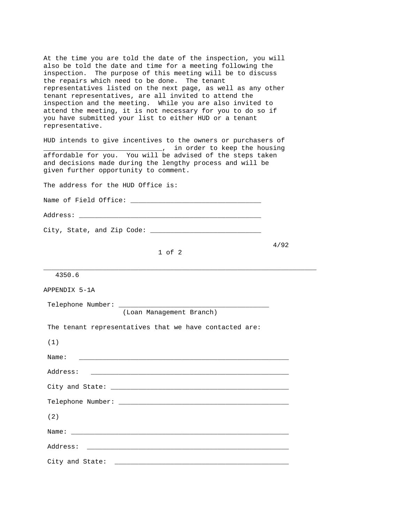At the time you are told the date of the inspection, you will also be told the date and time for a meeting following the inspection. The purpose of this meeting will be to discuss the repairs which need to be done. The tenant representatives listed on the next page, as well as any other tenant representatives, are all invited to attend the inspection and the meeting. While you are also invited to attend the meeting, it is not necessary for you to do so if you have submitted your list to either HUD or a tenant representative.

HUD intends to give incentives to the owners or purchasers of \_\_\_\_\_\_\_\_\_\_\_\_\_\_\_\_\_\_\_\_\_\_\_\_\_\_\_\_\_\_, in order to keep the housing affordable for you. You will be advised of the steps taken and decisions made during the lengthy process and will be given further opportunity to comment.

The address for the HUD Office is:

Name of Field Office: \_\_\_\_\_\_\_\_\_\_\_\_\_\_\_\_\_\_\_\_\_\_\_\_\_\_\_\_\_\_\_\_\_

Address: \_\_\_\_\_\_\_\_\_\_\_\_\_\_\_\_\_\_\_\_\_\_\_\_\_\_\_\_\_\_\_\_\_\_\_\_\_\_\_\_\_\_\_\_\_\_

City, State, and Zip Code: \_\_\_\_\_\_\_\_\_\_\_\_\_\_\_\_\_\_\_\_\_\_\_\_\_\_\_\_

 4/92 1 of 2

\_\_\_\_\_\_\_\_\_\_\_\_\_\_\_\_\_\_\_\_\_\_\_\_\_\_\_\_\_\_\_\_\_\_\_\_\_\_\_\_\_\_\_\_\_\_\_\_\_\_\_\_\_\_\_\_\_\_\_\_\_\_\_\_\_\_\_\_\_

| 4350.6 |
|--------|
|--------|

| APPENDIX 5-1A                                                                                                                                                                                                                  |
|--------------------------------------------------------------------------------------------------------------------------------------------------------------------------------------------------------------------------------|
|                                                                                                                                                                                                                                |
| (Loan Management Branch)                                                                                                                                                                                                       |
| The tenant representatives that we have contacted are:                                                                                                                                                                         |
| (1)                                                                                                                                                                                                                            |
| Name:                                                                                                                                                                                                                          |
| Address:<br><u> 1986 - Johann John Stoff, deutscher Stoffen und der Stoffen und der Stoffen und der Stoffen und der Stoffen u</u>                                                                                              |
| City and State: the contract of the contract of the contract of the contract of the contract of the contract of the contract of the contract of the contract of the contract of the contract of the contract of the contract o |
|                                                                                                                                                                                                                                |
| (2)                                                                                                                                                                                                                            |
|                                                                                                                                                                                                                                |
|                                                                                                                                                                                                                                |
| City and State:                                                                                                                                                                                                                |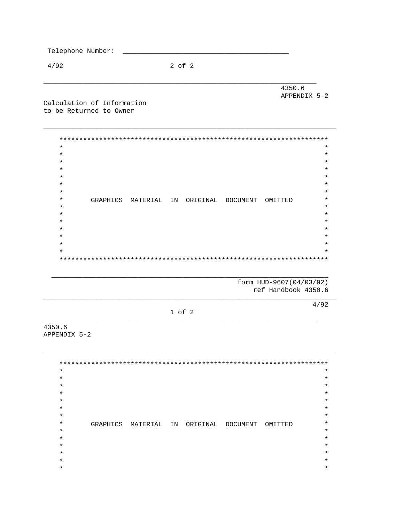$4/92$ 

 $2$  of  $2$ 

4350.6 APPENDIX 5-2

Calculation of Information to be Returned to Owner

> $\star$  $\star$  $\star$  $\star$  $\star$  $\star$  $\star$  $\star$  $\star$  $\star$  $\star$  $\star$ GRAPHICS MATERIAL IN ORIGINAL DOCUMENT OMITTED  $\star$  $\star$  $\star$  $\ast$  $\star$  $\star$  $\star$  $\star$  $\star$  $\star$  $\star$

> > form HUD-9607(04/03/92) ref Handbook 4350.6

> > > $4/92$

 $1$  of  $2$ 

4350.6 APPENDIX 5-2

> $\star$  $\star$  $\star$  $\star$  $\star$  $\star$  $\star$  $\star$  $\star$  $\star$  $\star$  $\star$  $\star$  $\star$ GRAPHICS MATERIAL IN ORIGINAL DOCUMENT OMITTED  $\star$  $\star$  $\star$  $\star$  $\star$  $\star$  $\star$  $\star$  $\star$  $\star$  $\star$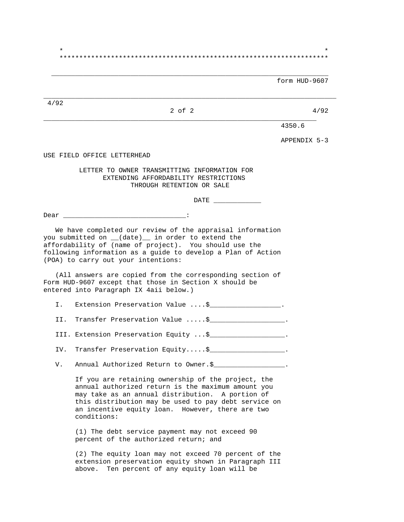$\star$  \* \*\*\*\*\*\*\*\*\*\*\*\*\*\*\*\*\*\*\*\*\*\*\*\*\*\*\*\*\*\*\*\*\*\*\*\*\*\*\*\*\*\*\*\*\*\*\*\*\*\*\*\*\*\*\*\*\*\*\*\*\*\*\*\*\*\*\*\*

 $\overline{\phantom{a}}$  ,  $\overline{\phantom{a}}$  ,  $\overline{\phantom{a}}$  ,  $\overline{\phantom{a}}$  ,  $\overline{\phantom{a}}$  ,  $\overline{\phantom{a}}$  ,  $\overline{\phantom{a}}$  ,  $\overline{\phantom{a}}$  ,  $\overline{\phantom{a}}$  ,  $\overline{\phantom{a}}$  ,  $\overline{\phantom{a}}$  ,  $\overline{\phantom{a}}$  ,  $\overline{\phantom{a}}$  ,  $\overline{\phantom{a}}$  ,  $\overline{\phantom{a}}$  ,  $\overline{\phantom{a}}$ 

\_\_\_\_\_\_\_\_\_\_\_\_\_\_\_\_\_\_\_\_\_\_\_\_\_\_\_\_\_\_\_\_\_\_\_\_\_\_\_\_\_\_\_\_\_\_\_\_\_\_\_\_\_\_\_\_\_\_\_\_\_\_\_\_\_\_\_\_\_\_\_\_\_\_

form HUD-9607

4/92

## $2 \text{ of } 2$  4/92 \_\_\_\_\_\_\_\_\_\_\_\_\_\_\_\_\_\_\_\_\_\_\_\_\_\_\_\_\_\_\_\_\_\_\_\_\_\_\_\_\_\_\_\_\_\_\_\_\_\_\_\_\_\_\_\_\_\_\_\_\_\_\_\_\_\_\_\_\_

4350.6

APPENDIX 5-3

USE FIELD OFFICE LETTERHEAD

 LETTER TO OWNER TRANSMITTING INFORMATION FOR EXTENDING AFFORDABILITY RESTRICTIONS THROUGH RETENTION OR SALE

DATE

Dear \_\_\_\_\_\_\_\_\_\_\_\_\_\_\_\_\_\_\_\_\_\_\_\_\_\_\_\_\_\_\_:

 We have completed our review of the appraisal information you submitted on \_\_(date)\_\_ in order to extend the affordability of (name of project). You should use the following information as a guide to develop a Plan of Action (POA) to carry out your intentions:

 (All answers are copied from the corresponding section of Form HUD-9607 except that those in Section X should be entered into Paragraph IX 4aii below.)

I. Extension Preservation Value ....\$\_\_\_\_\_\_\_\_\_\_\_\_\_\_\_\_\_\_.

II. Transfer Preservation Value .....\$ The contract of the set of the contract of the contract of the contract o

III. Extension Preservation Equity ... \$\_\_\_\_\_\_\_\_\_\_\_\_\_\_\_\_\_\_.

IV. Transfer Preservation Equity.....\$\_\_\_\_\_\_\_\_\_\_\_\_\_\_\_\_\_\_\_\_.

V. Annual Authorized Return to Owner.\$\_\_\_\_\_\_\_\_\_\_\_\_\_\_\_\_\_\_\_\_.

 If you are retaining ownership of the project, the annual authorized return is the maximum amount you may take as an annual distribution. A portion of this distribution may be used to pay debt service on an incentive equity loan. However, there are two conditions:

 (1) The debt service payment may not exceed 90 percent of the authorized return; and

 (2) The equity loan may not exceed 70 percent of the extension preservation equity shown in Paragraph III above. Ten percent of any equity loan will be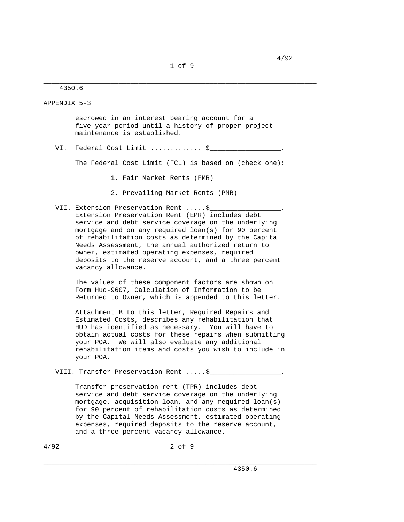\_\_\_\_\_\_\_\_\_\_\_\_\_\_\_\_\_\_\_\_\_\_\_\_\_\_\_\_\_\_\_\_\_\_\_\_\_\_\_\_\_\_\_\_\_\_\_\_\_\_\_\_\_\_\_\_\_\_\_\_\_\_\_\_\_\_\_\_\_

4350.6

APPENDIX 5-3

 escrowed in an interest bearing account for a five-year period until a history of proper project maintenance is established.

VI. Federal Cost Limit .............. \$

The Federal Cost Limit (FCL) is based on (check one):

- 1. Fair Market Rents (FMR)
- 2. Prevailing Market Rents (PMR)
- VII. Extension Preservation Rent .....\$ Extension Preservation Rent (EPR) includes debt service and debt service coverage on the underlying mortgage and on any required loan(s) for 90 percent of rehabilitation costs as determined by the Capital Needs Assessment, the annual authorized return to owner, estimated operating expenses, required deposits to the reserve account, and a three percent vacancy allowance.

 The values of these component factors are shown on Form Hud-9607, Calculation of Information to be Returned to Owner, which is appended to this letter.

 Attachment B to this letter, Required Repairs and Estimated Costs, describes any rehabilitation that HUD has identified as necessary. You will have to obtain actual costs for these repairs when submitting your POA. We will also evaluate any additional rehabilitation items and costs you wish to include in your POA.

VIII. Transfer Preservation Rent .....\$

 Transfer preservation rent (TPR) includes debt service and debt service coverage on the underlying mortgage, acquisition loan, and any required loan(s) for 90 percent of rehabilitation costs as determined by the Capital Needs Assessment, estimated operating expenses, required deposits to the reserve account, and a three percent vacancy allowance.

\_\_\_\_\_\_\_\_\_\_\_\_\_\_\_\_\_\_\_\_\_\_\_\_\_\_\_\_\_\_\_\_\_\_\_\_\_\_\_\_\_\_\_\_\_\_\_\_\_\_\_\_\_\_\_\_\_\_\_\_\_\_\_\_\_\_\_\_\_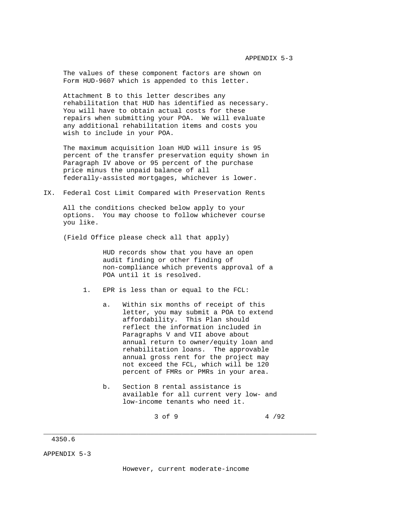The values of these component factors are shown on Form HUD-9607 which is appended to this letter.

 Attachment B to this letter describes any rehabilitation that HUD has identified as necessary. You will have to obtain actual costs for these repairs when submitting your POA. We will evaluate any additional rehabilitation items and costs you wish to include in your POA.

 The maximum acquisition loan HUD will insure is 95 percent of the transfer preservation equity shown in Paragraph IV above or 95 percent of the purchase price minus the unpaid balance of all federally-assisted mortgages, whichever is lower.

### IX. Federal Cost Limit Compared with Preservation Rents

 All the conditions checked below apply to your options. You may choose to follow whichever course you like.

(Field Office please check all that apply)

 HUD records show that you have an open audit finding or other finding of non-compliance which prevents approval of a POA until it is resolved.

- 1. EPR is less than or equal to the FCL:
	- a. Within six months of receipt of this letter, you may submit a POA to extend affordability. This Plan should reflect the information included in Paragraphs V and VII above about annual return to owner/equity loan and rehabilitation loans. The approvable annual gross rent for the project may not exceed the FCL, which will be 120 percent of FMRs or PMRs in your area.
	- b. Section 8 rental assistance is available for all current very low- and low-income tenants who need it.

 $3 \text{ of } 9$   $4 \text{/}92$ 

## 4350.6

APPENDIX 5-3

However, current moderate-income

\_\_\_\_\_\_\_\_\_\_\_\_\_\_\_\_\_\_\_\_\_\_\_\_\_\_\_\_\_\_\_\_\_\_\_\_\_\_\_\_\_\_\_\_\_\_\_\_\_\_\_\_\_\_\_\_\_\_\_\_\_\_\_\_\_\_\_\_\_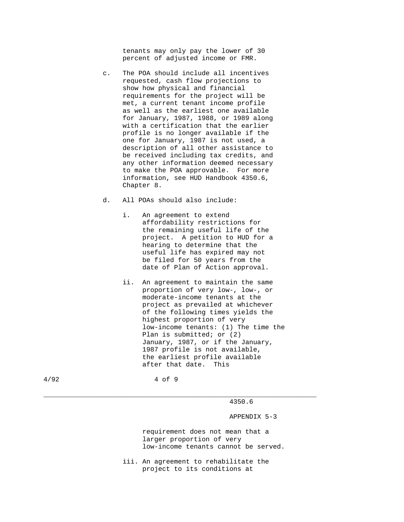tenants may only pay the lower of 30 percent of adjusted income or FMR.

- c. The POA should include all incentives requested, cash flow projections to show how physical and financial requirements for the project will be met, a current tenant income profile as well as the earliest one available for January, 1987, 1988, or 1989 along with a certification that the earlier profile is no longer available if the one for January, 1987 is not used, a description of all other assistance to be received including tax credits, and any other information deemed necessary to make the POA approvable. For more information, see HUD Handbook 4350.6, Chapter 8.
- d. All POAs should also include:
	- i. An agreement to extend affordability restrictions for the remaining useful life of the project. A petition to HUD for a hearing to determine that the useful life has expired may not be filed for 50 years from the date of Plan of Action approval.
	- ii. An agreement to maintain the same proportion of very low-, low-, or moderate-income tenants at the project as prevailed at whichever of the following times yields the highest proportion of very low-income tenants: (1) The time the Plan is submitted; or (2) January, 1987, or if the January, 1987 profile is not available, the earliest profile available after that date. This

4/92 4 of 9

\_\_\_\_\_\_\_\_\_\_\_\_\_\_\_\_\_\_\_\_\_\_\_\_\_\_\_\_\_\_\_\_\_\_\_\_\_\_\_\_\_\_\_\_\_\_\_\_\_\_\_\_\_\_\_\_\_\_\_\_\_\_\_\_\_\_\_\_\_

4350.6

APPENDIX 5-3

 requirement does not mean that a larger proportion of very low-income tenants cannot be served.

 iii. An agreement to rehabilitate the project to its conditions at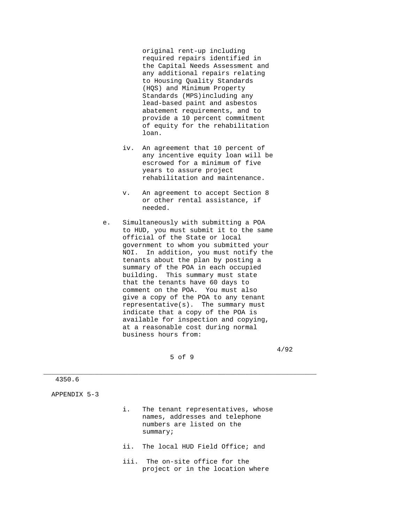original rent-up including required repairs identified in the Capital Needs Assessment and any additional repairs relating to Housing Quality Standards (HQS) and Minimum Property Standards (MPS)including any lead-based paint and asbestos abatement requirements, and to provide a 10 percent commitment of equity for the rehabilitation loan.

- iv. An agreement that 10 percent of any incentive equity loan will be escrowed for a minimum of five years to assure project rehabilitation and maintenance.
- v. An agreement to accept Section 8 or other rental assistance, if needed.
- e. Simultaneously with submitting a POA to HUD, you must submit it to the same official of the State or local government to whom you submitted your NOI. In addition, you must notify the tenants about the plan by posting a summary of the POA in each occupied building. This summary must state that the tenants have 60 days to comment on the POA. You must also give a copy of the POA to any tenant representative(s). The summary must indicate that a copy of the POA is available for inspection and copying, at a reasonable cost during normal business hours from:

5 of 9

\_\_\_\_\_\_\_\_\_\_\_\_\_\_\_\_\_\_\_\_\_\_\_\_\_\_\_\_\_\_\_\_\_\_\_\_\_\_\_\_\_\_\_\_\_\_\_\_\_\_\_\_\_\_\_\_\_\_\_\_\_\_\_\_\_\_\_\_\_

4/92

4350.6

APPENDIX 5-3

- i. The tenant representatives, whose names, addresses and telephone numbers are listed on the summary;
- ii. The local HUD Field Office; and
- iii. The on-site office for the project or in the location where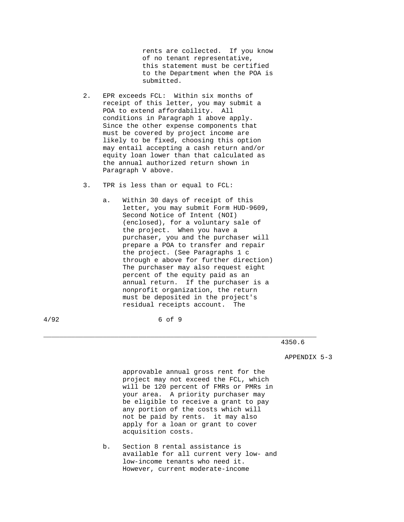rents are collected. If you know of no tenant representative, this statement must be certified to the Department when the POA is submitted.

- 2. EPR exceeds FCL: Within six months of receipt of this letter, you may submit a POA to extend affordability. All conditions in Paragraph 1 above apply. Since the other expense components that must be covered by project income are likely to be fixed, choosing this option may entail accepting a cash return and/or equity loan lower than that calculated as the annual authorized return shown in Paragraph V above.
- 3. TPR is less than or equal to FCL:
	- a. Within 30 days of receipt of this letter, you may submit Form HUD-9609, Second Notice of Intent (NOI) (enclosed), for a voluntary sale of the project. When you have a purchaser, you and the purchaser will prepare a POA to transfer and repair the project. (See Paragraphs 1 c through e above for further direction) The purchaser may also request eight percent of the equity paid as an annual return. If the purchaser is a nonprofit organization, the return must be deposited in the project's residual receipts account. The

4/92 6 of 9

\_\_\_\_\_\_\_\_\_\_\_\_\_\_\_\_\_\_\_\_\_\_\_\_\_\_\_\_\_\_\_\_\_\_\_\_\_\_\_\_\_\_\_\_\_\_\_\_\_\_\_\_\_\_\_\_\_\_\_\_\_\_\_\_\_\_\_\_\_

#### 4350.6

APPENDIX 5-3

 approvable annual gross rent for the project may not exceed the FCL, which will be 120 percent of FMRs or PMRs in your area. A priority purchaser may be eligible to receive a grant to pay any portion of the costs which will not be paid by rents. it may also apply for a loan or grant to cover acquisition costs.

 b. Section 8 rental assistance is available for all current very low- and low-income tenants who need it. However, current moderate-income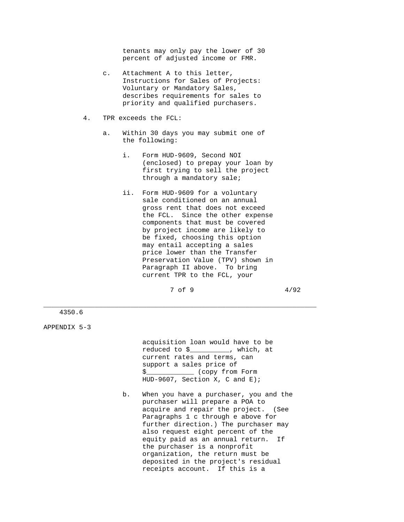tenants may only pay the lower of 30 percent of adjusted income or FMR.

- c. Attachment A to this letter, Instructions for Sales of Projects: Voluntary or Mandatory Sales, describes requirements for sales to priority and qualified purchasers.
- 4. TPR exceeds the FCL:
	- a. Within 30 days you may submit one of the following:
		- i. Form HUD-9609, Second NOI (enclosed) to prepay your loan by first trying to sell the project through a mandatory sale;
		- ii. Form HUD-9609 for a voluntary sale conditioned on an annual gross rent that does not exceed the FCL. Since the other expense components that must be covered by project income are likely to be fixed, choosing this option may entail accepting a sales price lower than the Transfer Preservation Value (TPV) shown in Paragraph II above. To bring current TPR to the FCL, your

 $7 \text{ of } 9$   $4/92$ 

\_\_\_\_\_\_\_\_\_\_\_\_\_\_\_\_\_\_\_\_\_\_\_\_\_\_\_\_\_\_\_\_\_\_\_\_\_\_\_\_\_\_\_\_\_\_\_\_\_\_\_\_\_\_\_\_\_\_\_\_\_\_\_\_\_\_\_\_\_

4350.6

APPENDIX 5-3

 acquisition loan would have to be reduced to \$\_\_\_\_\_\_\_\_\_\_, which, at current rates and terms, can support a sales price of \$\_\_\_\_\_\_\_\_\_\_\_\_ (copy from Form HUD-9607, Section X, C and E);

 b. When you have a purchaser, you and the purchaser will prepare a POA to acquire and repair the project. (See Paragraphs 1 c through e above for further direction.) The purchaser may also request eight percent of the equity paid as an annual return. If the purchaser is a nonprofit organization, the return must be deposited in the project's residual receipts account. If this is a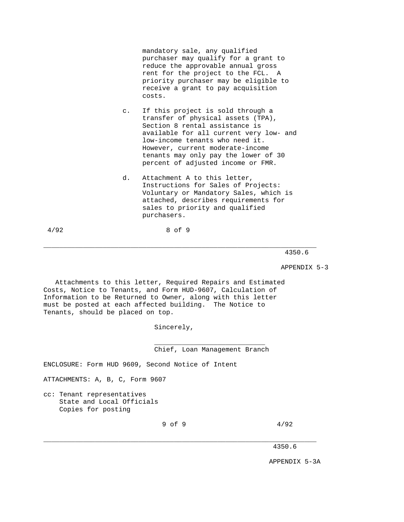mandatory sale, any qualified purchaser may qualify for a grant to reduce the approvable annual gross rent for the project to the FCL. A priority purchaser may be eligible to receive a grant to pay acquisition costs.

- c. If this project is sold through a transfer of physical assets (TPA), Section 8 rental assistance is available for all current very low- and low-income tenants who need it. However, current moderate-income tenants may only pay the lower of 30 percent of adjusted income or FMR.
- d. Attachment A to this letter, Instructions for Sales of Projects: Voluntary or Mandatory Sales, which is attached, describes requirements for sales to priority and qualified purchasers.

4/92 8 of 9

\_\_\_\_\_\_\_\_\_\_\_\_\_\_\_\_\_\_\_\_\_\_\_\_\_\_\_\_\_\_\_\_\_\_\_\_\_\_\_\_\_\_\_\_\_\_\_\_\_\_\_\_\_\_\_\_\_\_\_\_\_\_\_\_\_\_\_\_\_

4350.6

APPENDIX 5-3

 Attachments to this letter, Required Repairs and Estimated Costs, Notice to Tenants, and Form HUD-9607, Calculation of Information to be Returned to Owner, along with this letter must be posted at each affected building. The Notice to Tenants, should be placed on top.

 $\overline{\phantom{a}}$  ,  $\overline{\phantom{a}}$  ,  $\overline{\phantom{a}}$  ,  $\overline{\phantom{a}}$  ,  $\overline{\phantom{a}}$  ,  $\overline{\phantom{a}}$  ,  $\overline{\phantom{a}}$  ,  $\overline{\phantom{a}}$  ,  $\overline{\phantom{a}}$  ,  $\overline{\phantom{a}}$  ,  $\overline{\phantom{a}}$  ,  $\overline{\phantom{a}}$  ,  $\overline{\phantom{a}}$  ,  $\overline{\phantom{a}}$  ,  $\overline{\phantom{a}}$  ,  $\overline{\phantom{a}}$ 

Sincerely,

Chief, Loan Management Branch

ENCLOSURE: Form HUD 9609, Second Notice of Intent

ATTACHMENTS: A, B, C, Form 9607

cc: Tenant representatives State and Local Officials Copies for posting

 $9 \text{ of } 9$   $4/92$ 

\_\_\_\_\_\_\_\_\_\_\_\_\_\_\_\_\_\_\_\_\_\_\_\_\_\_\_\_\_\_\_\_\_\_\_\_\_\_\_\_\_\_\_\_\_\_\_\_\_\_\_\_\_\_\_\_\_\_\_\_\_\_\_\_\_\_\_\_\_

4350.6

APPENDIX 5-3A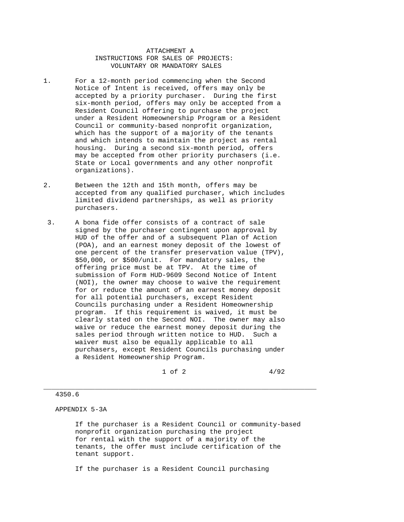ATTACHMENT A INSTRUCTIONS FOR SALES OF PROJECTS: VOLUNTARY OR MANDATORY SALES

- 1. For a 12-month period commencing when the Second Notice of Intent is received, offers may only be accepted by a priority purchaser. During the first six-month period, offers may only be accepted from a Resident Council offering to purchase the project under a Resident Homeownership Program or a Resident Council or community-based nonprofit organization, which has the support of a majority of the tenants and which intends to maintain the project as rental housing. During a second six-month period, offers may be accepted from other priority purchasers (i.e. State or Local governments and any other nonprofit organizations).
- 2. Between the 12th and 15th month, offers may be accepted from any qualified purchaser, which includes limited dividend partnerships, as well as priority purchasers.
- 3. A bona fide offer consists of a contract of sale signed by the purchaser contingent upon approval by HUD of the offer and of a subsequent Plan of Action (POA), and an earnest money deposit of the lowest of one percent of the transfer preservation value (TPV), \$50,000, or \$500/unit. For mandatory sales, the offering price must be at TPV. At the time of submission of Form HUD-9609 Second Notice of Intent (NOI), the owner may choose to waive the requirement for or reduce the amount of an earnest money deposit for all potential purchasers, except Resident Councils purchasing under a Resident Homeownership program. If this requirement is waived, it must be clearly stated on the Second NOI. The owner may also waive or reduce the earnest money deposit during the sales period through written notice to HUD. Such a waiver must also be equally applicable to all purchasers, except Resident Councils purchasing under a Resident Homeownership Program.

 $1 \text{ of } 2$   $4/92$ 

#### 4350.6

APPENDIX 5-3A

 If the purchaser is a Resident Council or community-based nonprofit organization purchasing the project for rental with the support of a majority of the tenants, the offer must include certification of the tenant support.

\_\_\_\_\_\_\_\_\_\_\_\_\_\_\_\_\_\_\_\_\_\_\_\_\_\_\_\_\_\_\_\_\_\_\_\_\_\_\_\_\_\_\_\_\_\_\_\_\_\_\_\_\_\_\_\_\_\_\_\_\_\_\_\_\_\_\_\_\_

If the purchaser is a Resident Council purchasing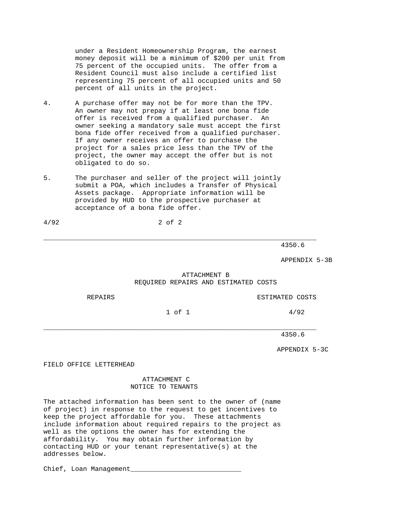under a Resident Homeownership Program, the earnest money deposit will be a minimum of \$200 per unit from 75 percent of the occupied units. The offer from a Resident Council must also include a certified list representing 75 percent of all occupied units and 50 percent of all units in the project.

- 4. A purchase offer may not be for more than the TPV. An owner may not prepay if at least one bona fide offer is received from a qualified purchaser. An owner seeking a mandatory sale must accept the first bona fide offer received from a qualified purchaser. If any owner receives an offer to purchase the project for a sales price less than the TPV of the project, the owner may accept the offer but is not obligated to do so.
- 5. The purchaser and seller of the project will jointly submit a POA, which includes a Transfer of Physical Assets package. Appropriate information will be provided by HUD to the prospective purchaser at acceptance of a bona fide offer.

4/92 2 of 2

4350.6

APPENDIX 5-3B

# ATTACHMENT B REQUIRED REPAIRS AND ESTIMATED COSTS

REPAIRS ESTIMATED COSTS

 $1 \text{ of } 1$   $4/92$ 

\_\_\_\_\_\_\_\_\_\_\_\_\_\_\_\_\_\_\_\_\_\_\_\_\_\_\_\_\_\_\_\_\_\_\_\_\_\_\_\_\_\_\_\_\_\_\_\_\_\_\_\_\_\_\_\_\_\_\_\_\_\_\_\_\_\_\_\_\_

\_\_\_\_\_\_\_\_\_\_\_\_\_\_\_\_\_\_\_\_\_\_\_\_\_\_\_\_\_\_\_\_\_\_\_\_\_\_\_\_\_\_\_\_\_\_\_\_\_\_\_\_\_\_\_\_\_\_\_\_\_\_\_\_\_\_\_\_\_

4350.6

APPENDIX 5-3C

FIELD OFFICE LETTERHEAD

## ATTACHMENT C NOTICE TO TENANTS

The attached information has been sent to the owner of (name of project) in response to the request to get incentives to keep the project affordable for you. These attachments include information about required repairs to the project as well as the options the owner has for extending the affordability. You may obtain further information by contacting HUD or your tenant representative(s) at the addresses below.

Chief, Loan Management